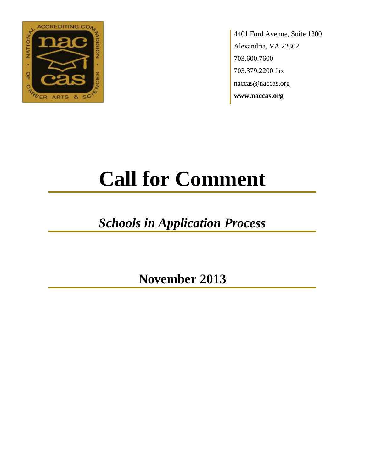

4401 Ford Avenue, Suite 1300 Alexandria, VA 22302 703.600.7600 703.379.2200 fax naccas@naccas.org **www.naccas.org**

# **Call for Comment**

## *Schools in Application Process*

**November 2013**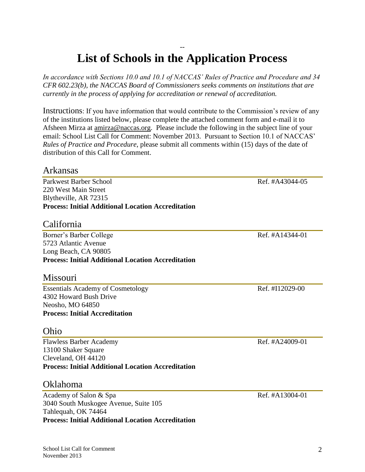#### -- **List of Schools in the Application Process**

*In accordance with Sections 10.0 and 10.1 of NACCAS' Rules of Practice and Procedure and 34 CFR 602.23(b), the NACCAS Board of Commissioners seeks comments on institutions that are currently in the process of applying for accreditation or renewal of accreditation.*

Instructions: If you have information that would contribute to the Commission's review of any of the institutions listed below, please complete the attached comment form and e-mail it to Afsheen Mirza at [amirza@naccas.org.](mailto:amirza@naccas.org) Please include the following in the subject line of your email: School List Call for Comment: November 2013. Pursuant to Section 10.1 of NACCAS' *Rules of Practice and Procedure*, please submit all comments within (15) days of the date of distribution of this Call for Comment.

#### Arkansas

Parkwest Barber School and Ref. #A43044-05 220 West Main Street Blytheville, AR 72315 **Process: Initial Additional Location Accreditation**

#### California

Borner's Barber College Ref. #A14344-01 5723 Atlantic Avenue Long Beach, CA 90805 **Process: Initial Additional Location Accreditation**

#### Missouri

Essentials Academy of Cosmetology Ref. #I12029-00 4302 Howard Bush Drive Neosho, MO 64850 **Process: Initial Accreditation**

#### Ohio

Flawless Barber Academy Ref. #A24009-01 13100 Shaker Square Cleveland, OH 44120 **Process: Initial Additional Location Accreditation**

#### Oklahoma

Academy of Salon & Spa Ref. #A13004-01 3040 South Muskogee Avenue, Suite 105 Tahlequah, OK 74464 **Process: Initial Additional Location Accreditation**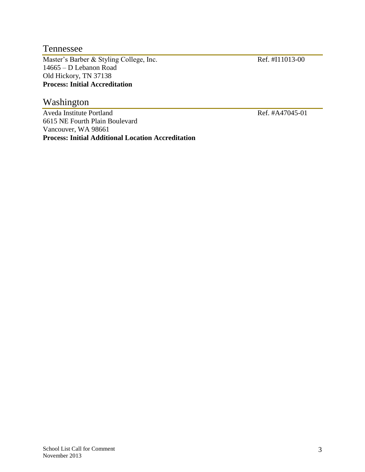#### Tennessee

Master's Barber & Styling College, Inc. Ref. #I11013-00 14665 – D Lebanon Road Old Hickory, TN 37138 **Process: Initial Accreditation**

#### Washington

Aveda Institute Portland Ref. #A47045-01 6615 NE Fourth Plain Boulevard Vancouver, WA 98661 **Process: Initial Additional Location Accreditation**